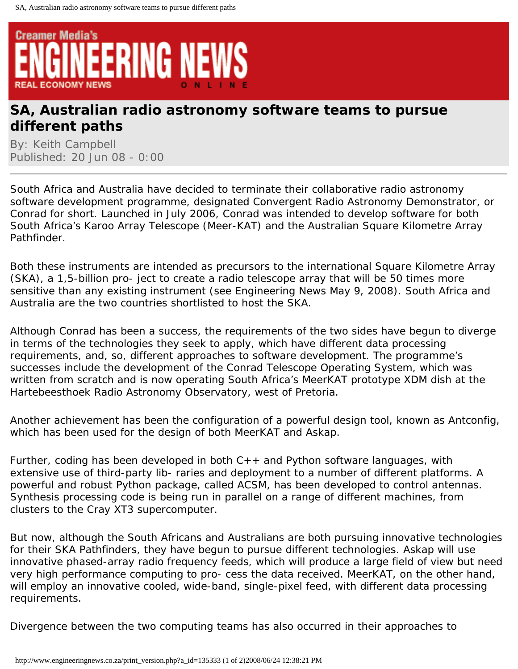

## **SA, Australian radio astronomy software teams to pursue different paths**

By: Keith Campbell Published: 20 Jun 08 - 0:00

South Africa and Australia have decided to terminate their collaborative radio astronomy software development programme, designated Convergent Radio Astronomy Demonstrator, or Conrad for short. Launched in July 2006, Conrad was intended to develop software for both South Africa's Karoo Array Telescope (Meer-KAT) and the Australian Square Kilometre Array Pathfinder.

Both these instruments are intended as precursors to the international Square Kilometre Array  $(SKA)$ , a  $\in 1, 5$ -billion pro- ject to create a radio telescope array that will be 50 times more sensitive than any existing instrument (see Engineering News May 9, 2008). South Africa and Australia are the two countries shortlisted to host the SKA.

Although Conrad has been a success, the requirements of the two sides have begun to diverge in terms of the technologies they seek to apply, which have different data processing requirements, and, so, different approaches to software development. The programme's successes include the development of the Conrad Telescope Operating System, which was written from scratch and is now operating South Africa's MeerKAT prototype XDM dish at the Hartebeesthoek Radio Astronomy Observatory, west of Pretoria.

Another achievement has been the configuration of a powerful design tool, known as Antconfig, which has been used for the design of both MeerKAT and Askap.

Further, coding has been developed in both  $C_{++}$  and Python software languages, with extensive use of third-party lib- raries and deployment to a number of different platforms. A powerful and robust Python package, called ACSM, has been developed to control antennas. Synthesis processing code is being run in parallel on a range of different machines, from clusters to the Cray XT3 supercomputer.

But now, although the South Africans and Australians are both pursuing innovative technologies for their SKA Pathfinders, they have begun to pursue different technologies. Askap will use innovative phased-array radio frequency feeds, which will produce a large field of view but need very high performance computing to pro- cess the data received. MeerKAT, on the other hand, will employ an innovative cooled, wide-band, single-pixel feed, with different data processing requirements.

Divergence between the two computing teams has also occurred in their approaches to